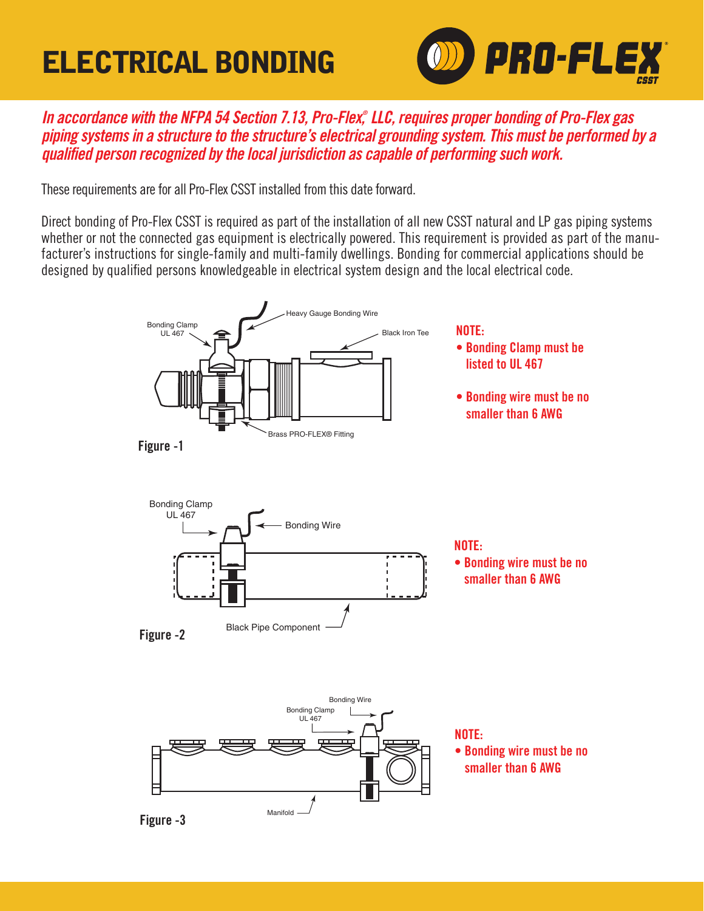## ELECTRICAL BONDING



*In accordance with the NFPA 54 Section 7.13, Pro-Flex,® LLC, requires proper bonding of Pro-Flex gas piping systems in a structure to the structure's electrical grounding system. This must be performed by a piping systems in a structure to the structure's electrical grounding system. This must be performed by a qualified person recognized by the local jurisdiction as capable of performing such work.*

These requirements are for all Pro-Flex CSST installed from this date forward.

Direct bonding of Pro-Flex CSST is required as part of the installation of all new CSST natural and LP gas piping systems whether or not the connected gas equipment is electrically powered. This requirement is provided as part of the manufacturer's instructions for single-family and multi-family dwellings. Bonding for commercial applications should be designed by qualified persons knowledgeable in electrical system design and the local electrical code.



Figure -1



NOTE: • Bonding wire must be no

smaller than 6 AWG



NOTE: • Bonding wire must be no smaller than 6 AWG